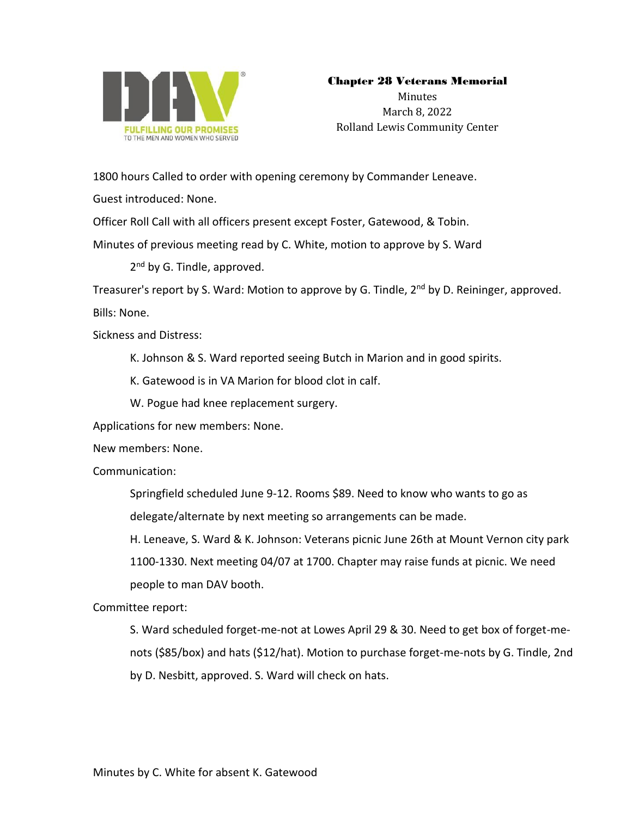

## Chapter 28 Veterans Memorial

Minutes March 8, 2022 Rolland Lewis Community Center

1800 hours Called to order with opening ceremony by Commander Leneave.

Guest introduced: None.

Officer Roll Call with all officers present except Foster, Gatewood, & Tobin.

Minutes of previous meeting read by C. White, motion to approve by S. Ward

2<sup>nd</sup> by G. Tindle, approved.

Treasurer's report by S. Ward: Motion to approve by G. Tindle, 2<sup>nd</sup> by D. Reininger, approved.

Bills: None.

Sickness and Distress:

K. Johnson & S. Ward reported seeing Butch in Marion and in good spirits.

K. Gatewood is in VA Marion for blood clot in calf.

W. Pogue had knee replacement surgery.

Applications for new members: None.

New members: None.

Communication:

Springfield scheduled June 9-12. Rooms \$89. Need to know who wants to go as delegate/alternate by next meeting so arrangements can be made.

H. Leneave, S. Ward & K. Johnson: Veterans picnic June 26th at Mount Vernon city park

1100-1330. Next meeting 04/07 at 1700. Chapter may raise funds at picnic. We need people to man DAV booth.

Committee report:

S. Ward scheduled forget-me-not at Lowes April 29 & 30. Need to get box of forget-menots (\$85/box) and hats (\$12/hat). Motion to purchase forget-me-nots by G. Tindle, 2nd by D. Nesbitt, approved. S. Ward will check on hats.